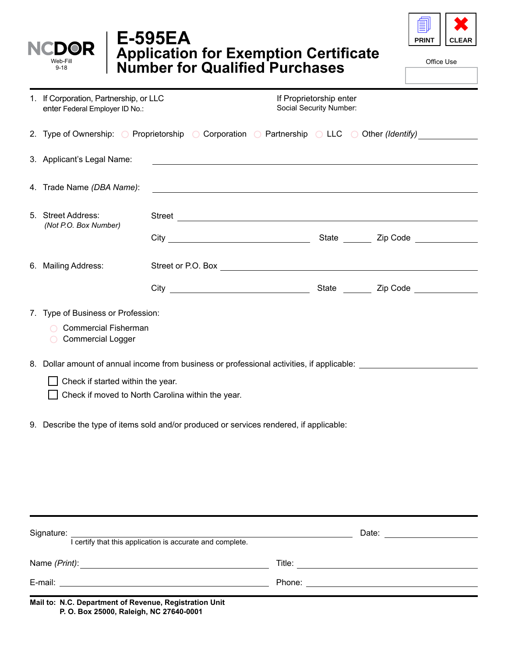| <b>DOR</b><br>Web-Fill<br>$9 - 18$                                                                                                                                                                                                                                                       | <b>E-595EA</b><br><b>Application for Exemption Certificate<br/>Number for Qualified Purchases</b>                                                       |                                                    |  | <b>PRINT</b><br>Office Use | <b>CLEAR</b> |
|------------------------------------------------------------------------------------------------------------------------------------------------------------------------------------------------------------------------------------------------------------------------------------------|---------------------------------------------------------------------------------------------------------------------------------------------------------|----------------------------------------------------|--|----------------------------|--------------|
| 1. If Corporation, Partnership, or LLC<br>enter Federal Employer ID No.:                                                                                                                                                                                                                 |                                                                                                                                                         | If Proprietorship enter<br>Social Security Number: |  |                            |              |
|                                                                                                                                                                                                                                                                                          | 2. Type of Ownership: ○ Proprietorship ○ Corporation ○ Partnership ○ LLC ○ Other (Identify)                                                             |                                                    |  |                            |              |
| 3. Applicant's Legal Name:                                                                                                                                                                                                                                                               |                                                                                                                                                         |                                                    |  |                            |              |
| 4. Trade Name (DBA Name):                                                                                                                                                                                                                                                                | <u> 1989 - Johann Barbara, martxa alemaniar amerikan a</u>                                                                                              |                                                    |  |                            |              |
| 5. Street Address:<br>(Not P.O. Box Number)                                                                                                                                                                                                                                              |                                                                                                                                                         |                                                    |  |                            |              |
|                                                                                                                                                                                                                                                                                          |                                                                                                                                                         |                                                    |  |                            |              |
| 6. Mailing Address:                                                                                                                                                                                                                                                                      |                                                                                                                                                         |                                                    |  |                            |              |
|                                                                                                                                                                                                                                                                                          |                                                                                                                                                         |                                                    |  |                            |              |
| 7. Type of Business or Profession:<br><b>Commercial Fisherman</b><br><b>Commercial Logger</b><br>$\bigcirc$                                                                                                                                                                              |                                                                                                                                                         |                                                    |  |                            |              |
| 8. Dollar amount of annual income from business or professional activities, if applicable: ________<br>Check if started within the year.<br>Check if moved to North Carolina within the year.<br>9. Describe the type of items sold and/or produced or services rendered, if applicable: |                                                                                                                                                         |                                                    |  |                            |              |
|                                                                                                                                                                                                                                                                                          |                                                                                                                                                         |                                                    |  |                            |              |
|                                                                                                                                                                                                                                                                                          | Signature:<br>I certify that this application is accurate and complete. Date: Date: Date: Date: Dentity that this application is accurate and complete. |                                                    |  |                            |              |
|                                                                                                                                                                                                                                                                                          |                                                                                                                                                         |                                                    |  |                            |              |
| Mail to: N.C. Department of Revenue, Registration Unit                                                                                                                                                                                                                                   |                                                                                                                                                         |                                                    |  |                            |              |

**P. O. Box 25000, Raleigh, NC 27640-0001**